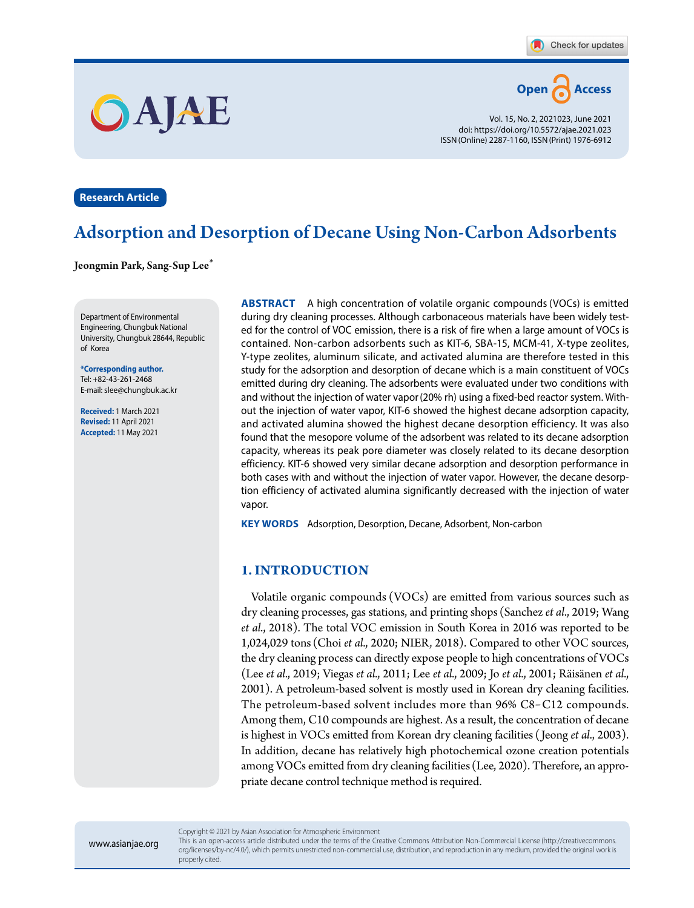

Vol. 15, No. 2, 2021023, June 2021 doi: https://doi.org/10.5572/ajae.2021.023 ISSN(Online) 2287-1160, ISSN(Print) 1976-6912

**Research Article**

# Adsorption and Desorption of Decane Using Non-Carbon Adsorbents

Jeongmin Park**,** Sang-Sup Lee\*

OAJAE

Department of Environmental Engineering, Chungbuk National University, Chungbuk 28644, Republic of Korea

**\*Corresponding author.** Tel: +82-43-261-2468 E-mail: slee@chungbuk.ac.kr

**Received:** 1 March 2021 **Revised:** 11 April 2021 **Accepted:** 11 May 2021

**ABSTRACT** A high concentration of volatile organic compounds (VOCs) is emitted during dry cleaning processes. Although carbonaceous materials have been widely tested for the control of VOC emission, there is a risk of fire when a large amount of VOCs is contained. Non-carbon adsorbents such as KIT-6, SBA-15, MCM-41, X-type zeolites, Y-type zeolites, aluminum silicate, and activated alumina are therefore tested in this study for the adsorption and desorption of decane which is a main constituent of VOCs emitted during dry cleaning. The adsorbents were evaluated under two conditions with and without the injection of water vapor(20% rh) using a fixed-bed reactor system. Without the injection of water vapor, KIT-6 showed the highest decane adsorption capacity, and activated alumina showed the highest decane desorption efficiency. It was also found that the mesopore volume of the adsorbent was related to its decane adsorption capacity, whereas its peak pore diameter was closely related to its decane desorption efficiency. KIT-6 showed very similar decane adsorption and desorption performance in both cases with and without the injection of water vapor. However, the decane desorption efficiency of activated alumina significantly decreased with the injection of water vapor.

**KEY WORDS** Adsorption, Desorption, Decane, Adsorbent, Non-carbon

# **1. INTRODUCTION**

Volatile organic compounds (VOCs) are emitted from various sources such as dry cleaning processes, gas stations, and printing shops (Sanchez *et al*., 2019; Wang *et al*., 2018). The total VOC emission in South Korea in 2016 was reported to be 1,024,029 tons (Choi *et al*., 2020; NIER, 2018). Compared to other VOC sources, the dry cleaning process can directly expose people to high concentrations of VOCs (Lee *et al*., 2019; Viegas *et al*., 2011; Lee *et al*., 2009; Jo *et al*., 2001; Räisänen *et al*., 2001). A petroleum-based solvent is mostly used in Korean dry cleaning facilities. The petroleum-based solvent includes more than 96% C8-C12 compounds. Among them, C10 compounds are highest. As a result, the concentration of decane is highest in VOCs emitted from Korean dry cleaning facilities ( Jeong *et al*., 2003). In addition, decane has relatively high photochemical ozone creation potentials among VOCs emitted from dry cleaning facilities (Lee, 2020). Therefore, an appropriate decane control technique method is required.

Copyright © 2021 by Asian Association for Atmospheric Environment

This is an open-access article distributed under the terms of the Creative Commons Attribution Non-Commercial License (http://creativecommons. org/licenses/by-nc/4.0/), which permits unrestricted non-commercial use, distribution, and reproduction in any medium, provided the original work is properly cited.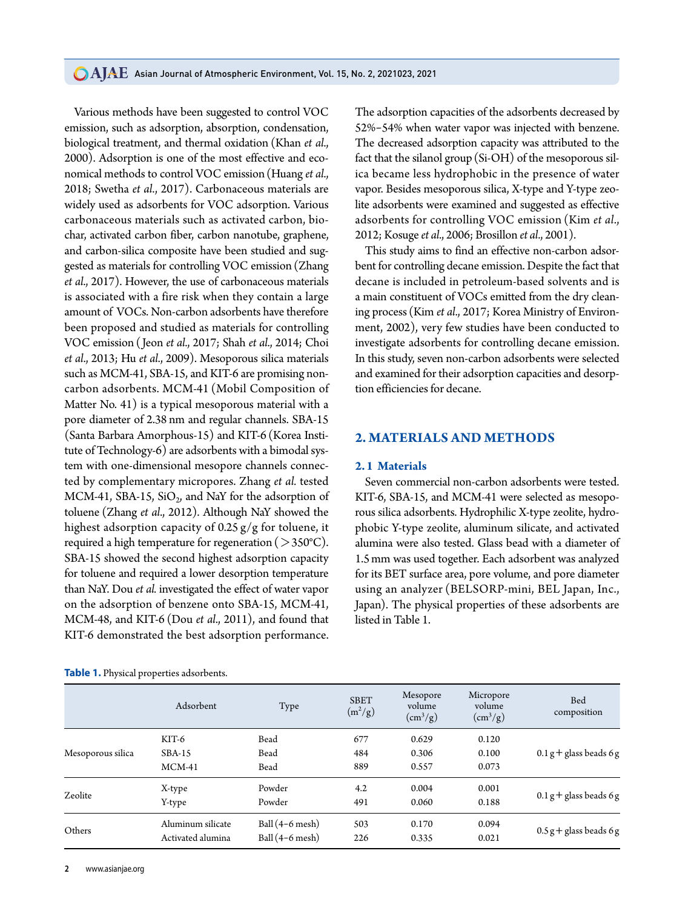Various methods have been suggested to control VOC emission, such as adsorption, absorption, condensation, biological treatment, and thermal oxidation (Khan *et al*., 2000). Adsorption is one of the most effective and economical methods to control VOC emission(Huang *et al*., 2018; Swetha *et al*., 2017). Carbonaceous materials are widely used as adsorbents for VOC adsorption. Various carbonaceous materials such as activated carbon, biochar, activated carbon fiber, carbon nanotube, graphene, and carbon-silica composite have been studied and suggested as materials for controlling VOC emission (Zhang *et al*., 2017). However, the use of carbonaceous materials is associated with a fire risk when they contain a large amount of VOCs. Non-carbon adsorbents have therefore been proposed and studied as materials for controlling VOC emission ( Jeon *et al*., 2017; Shah *et al*., 2014; Choi *et al*., 2013; Hu *et al*., 2009). Mesoporous silica materials such as MCM-41, SBA-15, and KIT-6 are promising noncarbon adsorbents. MCM-41 (Mobil Composition of Matter No. 41) is a typical mesoporous material with a pore diameter of 2.38 nm and regular channels. SBA-15 (Santa Barbara Amorphous-15) and KIT-6 (Korea Institute of Technology-6) are adsorbents with a bimodal system with one-dimensional mesopore channels connected by complementary micropores. Zhang *et al.* tested MCM-41, SBA-15,  $SiO<sub>2</sub>$ , and NaY for the adsorption of toluene (Zhang *et al*., 2012). Although NaY showed the highest adsorption capacity of  $0.25 \frac{g}{g}$  for toluene, it required a high temperature for regeneration ( $>$ 350°C). SBA-15 showed the second highest adsorption capacity for toluene and required a lower desorption temperature than NaY. Dou *et al.* investigated the effect of water vapor on the adsorption of benzene onto SBA-15, MCM-41, MCM-48, and KIT-6 (Dou *et al*., 2011), and found that KIT-6 demonstrated the best adsorption performance.

**Table 1.** Physical properties adsorbents.

The adsorption capacities of the adsorbents decreased by 52%-54% when water vapor was injected with benzene. The decreased adsorption capacity was attributed to the fact that the silanol group(Si-OH) of the mesoporous silica became less hydrophobic in the presence of water vapor. Besides mesoporous silica, X-type and Y-type zeolite adsorbents were examined and suggested as effective adsorbents for controlling VOC emission (Kim *et al*., 2012; Kosuge *et al*., 2006; Brosillon *et al*., 2001).

This study aims to find an effective non-carbon adsorbent for controlling decane emission. Despite the fact that decane is included in petroleum-based solvents and is a main constituent of VOCs emitted from the dry cleaning process (Kim *et al*., 2017; Korea Ministry of Environment, 2002), very few studies have been conducted to investigate adsorbents for controlling decane emission. In this study, seven non-carbon adsorbents were selected and examined for their adsorption capacities and desorption efficiencies for decane.

# **2. MATERIALS AND METHODS**

## **2.1 Materials**

Seven commercial non-carbon adsorbents were tested. KIT-6, SBA-15, and MCM-41 were selected as mesoporous silica adsorbents. Hydrophilic X-type zeolite, hydrophobic Y-type zeolite, aluminum silicate, and activated alumina were also tested. Glass bead with a diameter of 1.5mm was used together. Each adsorbent was analyzed for its BET surface area, pore volume, and pore diameter using an analyzer (BELSORP-mini, BEL Japan, Inc., Japan). The physical properties of these adsorbents are listed in Table 1.

|                   | Adsorbent         | Type              | <b>SBET</b><br>$\left(\frac{m^2}{g}\right)$ | Mesopore<br>volume<br>$\left(\text{cm}^3/\text{g}\right)$ | Micropore<br>volume<br>$\rm \left( cm^3/g \right)$ | <b>Bed</b><br>composition |
|-------------------|-------------------|-------------------|---------------------------------------------|-----------------------------------------------------------|----------------------------------------------------|---------------------------|
|                   | KIT-6             | Bead              | 677                                         | 0.629                                                     | 0.120                                              |                           |
| Mesoporous silica | $SBA-15$          | Bead              | 484                                         | 0.306                                                     | 0.100                                              | $0.1$ g + glass beads 6 g |
|                   | $MCM-41$          | Bead              | 889                                         | 0.557                                                     | 0.073                                              |                           |
| Zeolite           | X-type            | Powder            | 4.2                                         | 0.004                                                     | 0.001                                              | $0.1$ g + glass beads 6 g |
|                   | Y-type            | Powder            | 491                                         | 0.060                                                     | 0.188                                              |                           |
| Others            | Aluminum silicate | $Ball(4-6$ mesh)  | 503                                         | 0.170                                                     | 0.094                                              | $0.5 g +$ glass beads 6 g |
|                   | Activated alumina | Ball $(4-6$ mesh) | 226                                         | 0.335                                                     | 0.021                                              |                           |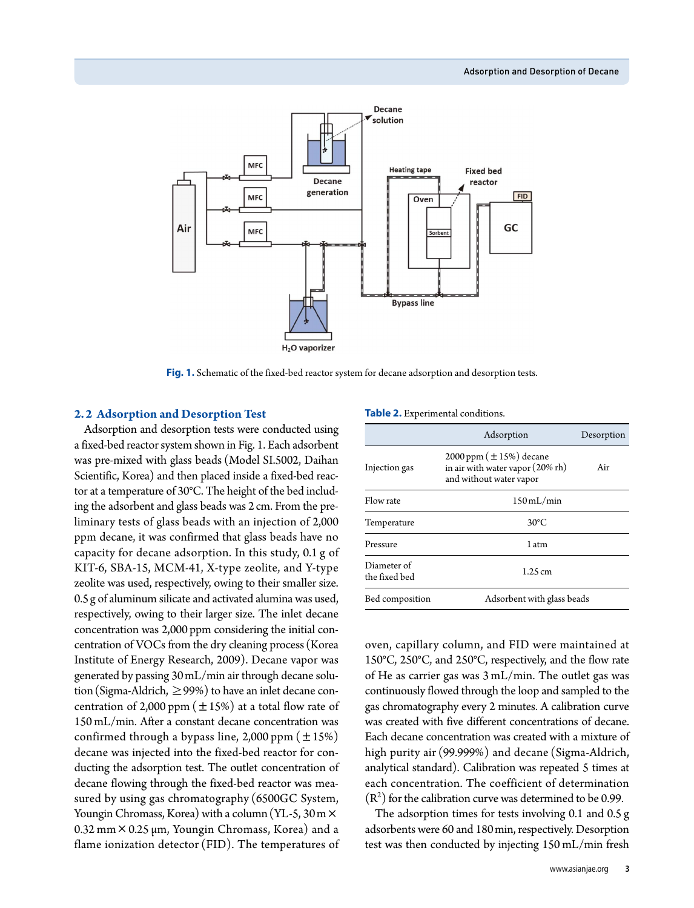

Fig. 1. Schematic of the fixed-bed reactor system for decane adsorption and desorption tests.

#### **2.2 Adsorption and Desorption Test**

Adsorption and desorption tests were conducted using a fixed-bed reactor system shown in Fig. 1. Each adsorbent was pre-mixed with glass beads (Model SI.5002, Daihan Scientific, Korea) and then placed inside a fixed-bed reactor at a temperature of 30°C. The height of the bed including the adsorbent and glass beads was 2 cm. From the preliminary tests of glass beads with an injection of 2,000 ppm decane, it was confirmed that glass beads have no capacity for decane adsorption. In this study, 0.1 g of KIT-6, SBA-15, MCM-41, X-type zeolite, and Y-type zeolite was used, respectively, owing to their smaller size. 0.5g of aluminum silicate and activated alumina was used, respectively, owing to their larger size. The inlet decane concentration was 2,000 ppm considering the initial concentration of VOCs from the dry cleaning process (Korea Institute of Energy Research, 2009). Decane vapor was generated by passing 30mL/min air through decane solution (Sigma-Aldrich,  $\geq$ 99%) to have an inlet decane concentration of 2,000 ppm  $(\pm 15%)$  at a total flow rate of 150 mL/min. After a constant decane concentration was confirmed through a bypass line, 2,000 ppm  $(\pm 15\%)$ decane was injected into the fixed-bed reactor for conducting the adsorption test. The outlet concentration of decane flowing through the fixed-bed reactor was measured by using gas chromatography (6500GC System, Youngin Chromass, Korea) with a column (YL-5,  $30 \text{ m} \times$  $0.32$  mm  $\times$  0.25 µm, Youngin Chromass, Korea) and a flame ionization detector (FID). The temperatures of

**Table 2.** Experimental conditions.

|                              | Adsorption                                                                                   | Desorption |  |
|------------------------------|----------------------------------------------------------------------------------------------|------------|--|
| Injection gas                | $2000$ ppm $(\pm 15%)$ decane<br>in air with water vapor (20% rh)<br>and without water vapor | Air        |  |
| Flow rate                    | $150 \text{ mL/min}$                                                                         |            |  |
| Temperature                  | $30^{\circ}$ C                                                                               |            |  |
| Pressure                     | 1 atm                                                                                        |            |  |
| Diameter of<br>the fixed bed | $1.25 \text{ cm}$                                                                            |            |  |
| Bed composition              | Adsorbent with glass beads                                                                   |            |  |

oven, capillary column, and FID were maintained at 150°C, 250°C, and 250°C, respectively, and the flow rate of He as carrier gas was 3 mL/min. The outlet gas was continuously flowed through the loop and sampled to the gas chromatography every 2 minutes. A calibration curve was created with five different concentrations of decane. Each decane concentration was created with a mixture of high purity air (99.999%) and decane (Sigma-Aldrich, analytical standard). Calibration was repeated 5 times at each concentration. The coefficient of determination  $(R<sup>2</sup>)$  for the calibration curve was determined to be 0.99.

The adsorption times for tests involving 0.1 and 0.5 g adsorbents were 60 and 180min, respectively. Desorption test was then conducted by injecting 150 mL/min fresh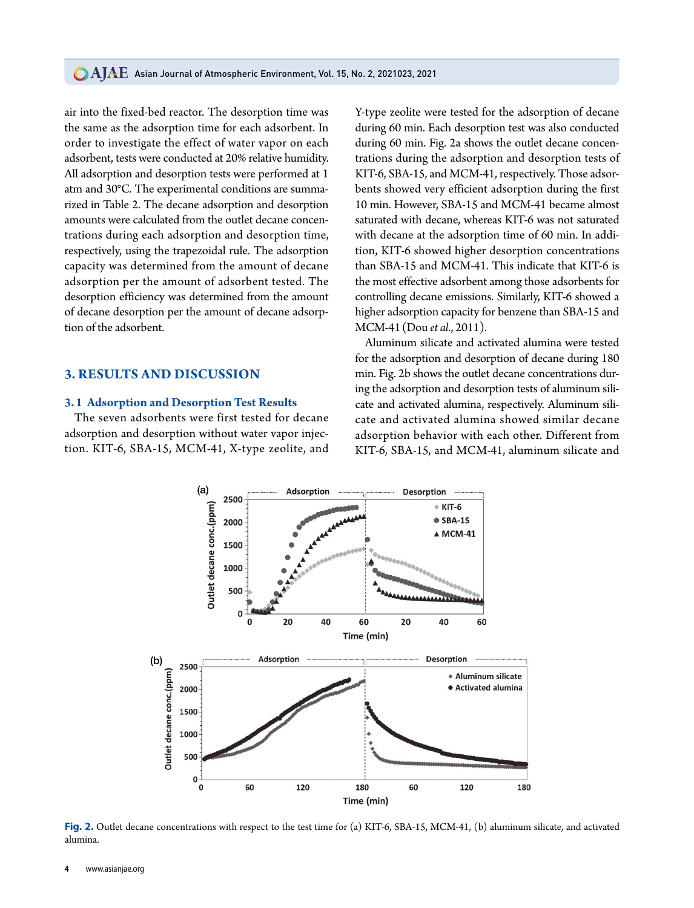## **CAJAE** Asian Journal of Atmospheric Environment, Vol. 15, No. 2, 2021023, 2021

air into the fixed-bed reactor. The desorption time was the same as the adsorption time for each adsorbent. In order to investigate the effect of water vapor on each adsorbent, tests were conducted at 20% relative humidity. All adsorption and desorption tests were performed at 1 atm and 30°C. The experimental conditions are summarized in Table 2. The decane adsorption and desorption amounts were calculated from the outlet decane concentrations during each adsorption and desorption time, respectively, using the trapezoidal rule. The adsorption capacity was determined from the amount of decane adsorption per the amount of adsorbent tested. The desorption efficiency was determined from the amount of decane desorption per the amount of decane adsorption of the adsorbent.

#### **3. RESULTS AND DISCUSSION**

#### **3.1 Adsorption and Desorption Test Results**

The seven adsorbents were first tested for decane adsorption and desorption without water vapor injection. KIT-6, SBA-15, MCM-41, X-type zeolite, and Y-type zeolite were tested for the adsorption of decane during 60 min. Each desorption test was also conducted during 60 min. Fig. 2a shows the outlet decane concentrations during the adsorption and desorption tests of KIT-6, SBA-15, and MCM-41, respectively. Those adsorbents showed very efficient adsorption during the first 10 min. However, SBA-15 and MCM-41 became almost saturated with decane, whereas KIT-6 was not saturated with decane at the adsorption time of 60 min. In addition, KIT-6 showed higher desorption concentrations than SBA-15 and MCM-41. This indicate that KIT-6 is the most effective adsorbent among those adsorbents for controlling decane emissions. Similarly, KIT-6 showed a higher adsorption capacity for benzene than SBA-15 and MCM-41(Dou *et al*., 2011).

Aluminum silicate and activated alumina were tested for the adsorption and desorption of decane during 180 min. Fig. 2b shows the outlet decane concentrations during the adsorption and desorption tests of aluminum silicate and activated alumina, respectively. Aluminum silicate and activated alumina showed similar decane adsorption behavior with each other. Different from KIT-6, SBA-15, and MCM-41, aluminum silicate and



**Fig. 2.** Outlet decane concentrations with respect to the test time for (a) KIT-6, SBA-15, MCM-41, (b) aluminum silicate, and activated alumina.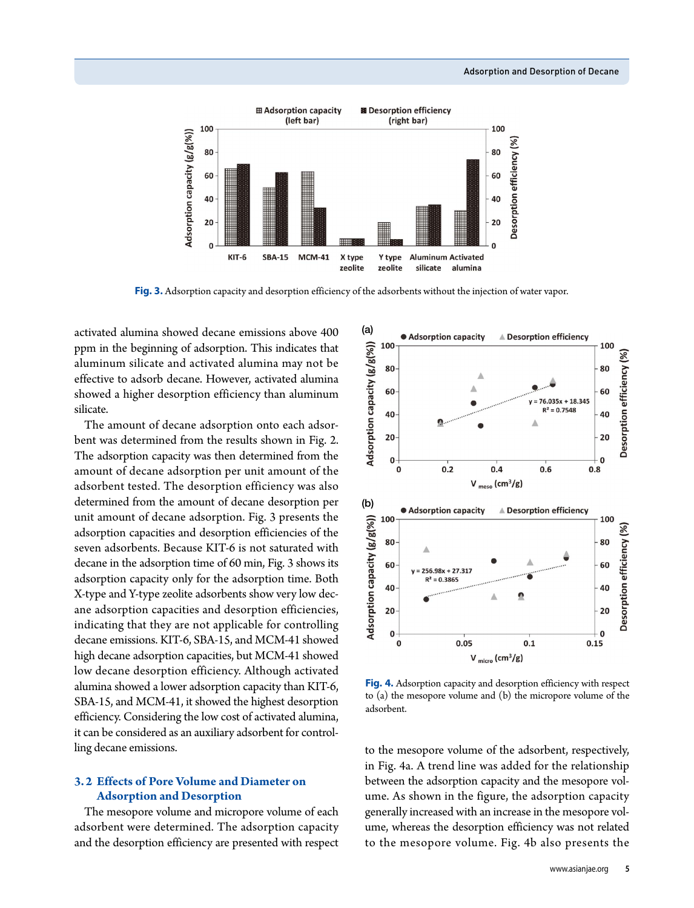

**Fig. 3.** Adsorption capacity and desorption efficiency of the adsorbents without the injection of water vapor.

activated alumina showed decane emissions above 400 ppm in the beginning of adsorption. This indicates that aluminum silicate and activated alumina may not be effective to adsorb decane. However, activated alumina showed a higher desorption efficiency than aluminum silicate.

The amount of decane adsorption onto each adsorbent was determined from the results shown in Fig. 2. The adsorption capacity was then determined from the amount of decane adsorption per unit amount of the adsorbent tested. The desorption efficiency was also determined from the amount of decane desorption per unit amount of decane adsorption. Fig. 3 presents the adsorption capacities and desorption efficiencies of the seven adsorbents. Because KIT-6 is not saturated with decane in the adsorption time of 60 min, Fig. 3 shows its adsorption capacity only for the adsorption time. Both X-type and Y-type zeolite adsorbents show very low decane adsorption capacities and desorption efficiencies, indicating that they are not applicable for controlling decane emissions. KIT-6, SBA-15, and MCM-41 showed high decane adsorption capacities, but MCM-41 showed low decane desorption efficiency. Although activated alumina showed a lower adsorption capacity than KIT-6, SBA-15, and MCM-41, it showed the highest desorption efficiency. Considering the low cost of activated alumina, it can be considered as an auxiliary adsorbent for controlling decane emissions.

## **3.2 Effects of Pore Volume and Diameter on Adsorption and Desorption**

The mesopore volume and micropore volume of each adsorbent were determined. The adsorption capacity and the desorption efficiency are presented with respect



**Fig. 4.** Adsorption capacity and desorption efficiency with respect to (a) the mesopore volume and (b) the micropore volume of the adsorbent.

to the mesopore volume of the adsorbent, respectively, in Fig. 4a. A trend line was added for the relationship between the adsorption capacity and the mesopore volume. As shown in the figure, the adsorption capacity generally increased with an increase in the mesopore volume, whereas the desorption efficiency was not related to the mesopore volume. Fig. 4b also presents the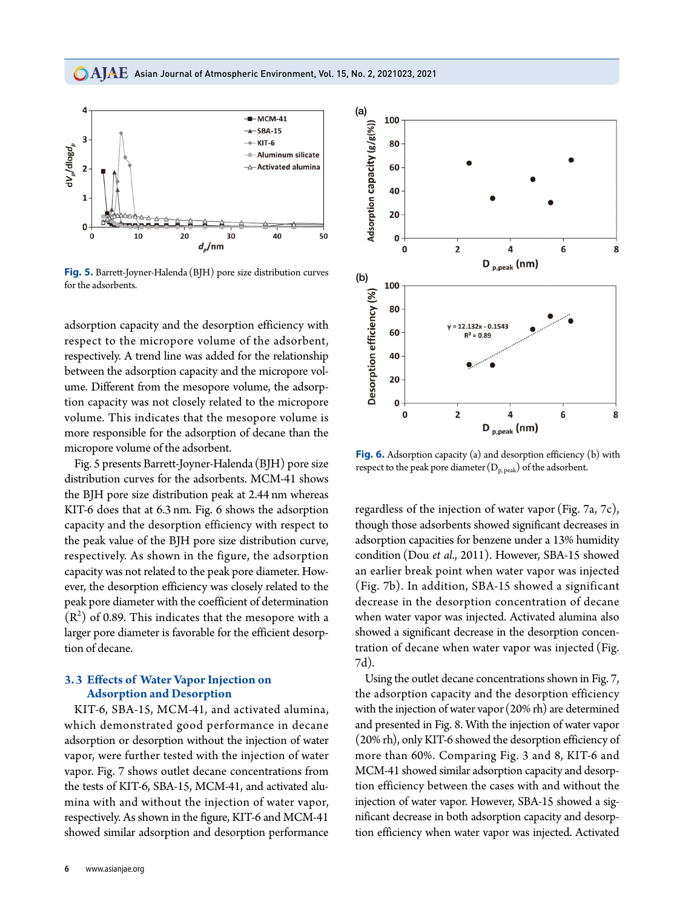**CAJAE** Asian Journal of Atmospheric Environment, Vol. 15, No. 2, 2021023, 2021



**Fig. 5.** Barrett-Joyner-Halenda (BJH) pore size distribution curves for the adsorbents.

adsorption capacity and the desorption efficiency with respect to the micropore volume of the adsorbent, respectively. A trend line was added for the relationship between the adsorption capacity and the micropore volume. Different from the mesopore volume, the adsorption capacity was not closely related to the micropore volume. This indicates that the mesopore volume is more responsible for the adsorption of decane than the micropore volume of the adsorbent.

Fig. 5 presents Barrett-Joyner-Halenda (BJH) pore size distribution curves for the adsorbents. MCM-41 shows the BJH pore size distribution peak at 2.44 nm whereas KIT-6 does that at 6.3 nm. Fig. 6 shows the adsorption capacity and the desorption efficiency with respect to the peak value of the BJH pore size distribution curve, respectively. As shown in the figure, the adsorption capacity was not related to the peak pore diameter. However, the desorption efficiency was closely related to the peak pore diameter with the coefficient of determination  $(R<sup>2</sup>)$  of 0.89. This indicates that the mesopore with a larger pore diameter is favorable for the efficient desorption of decane.

## **3.3 Effects of Water Vapor Injection on Adsorption and Desorption**

KIT-6, SBA-15, MCM-41, and activated alumina, which demonstrated good performance in decane adsorption or desorption without the injection of water vapor, were further tested with the injection of water vapor. Fig. 7 shows outlet decane concentrations from the tests of KIT-6, SBA-15, MCM-41, and activated alumina with and without the injection of water vapor, respectively. As shown in the figure, KIT-6 and MCM-41 showed similar adsorption and desorption performance



**Fig. 6.** Adsorption capacity (a) and desorption efficiency (b) with respect to the peak pore diameter  $(D_{p, peak})$  of the adsorbent.

regardless of the injection of water vapor (Fig. 7a, 7c), though those adsorbents showed significant decreases in adsorption capacities for benzene under a 13% humidity condition (Dou *et al*., 2011). However, SBA-15 showed an earlier break point when water vapor was injected (Fig. 7b). In addition, SBA-15 showed a significant decrease in the desorption concentration of decane when water vapor was injected. Activated alumina also showed a significant decrease in the desorption concentration of decane when water vapor was injected (Fig. 7d).

Using the outlet decane concentrations shown in Fig. 7, the adsorption capacity and the desorption efficiency with the injection of water vapor (20% rh) are determined and presented in Fig. 8. With the injection of water vapor (20% rh), only KIT-6 showed the desorption efficiency of more than 60%. Comparing Fig. 3 and 8, KIT-6 and MCM-41 showed similar adsorption capacity and desorption efficiency between the cases with and without the injection of water vapor. However, SBA-15 showed a significant decrease in both adsorption capacity and desorption efficiency when water vapor was injected. Activated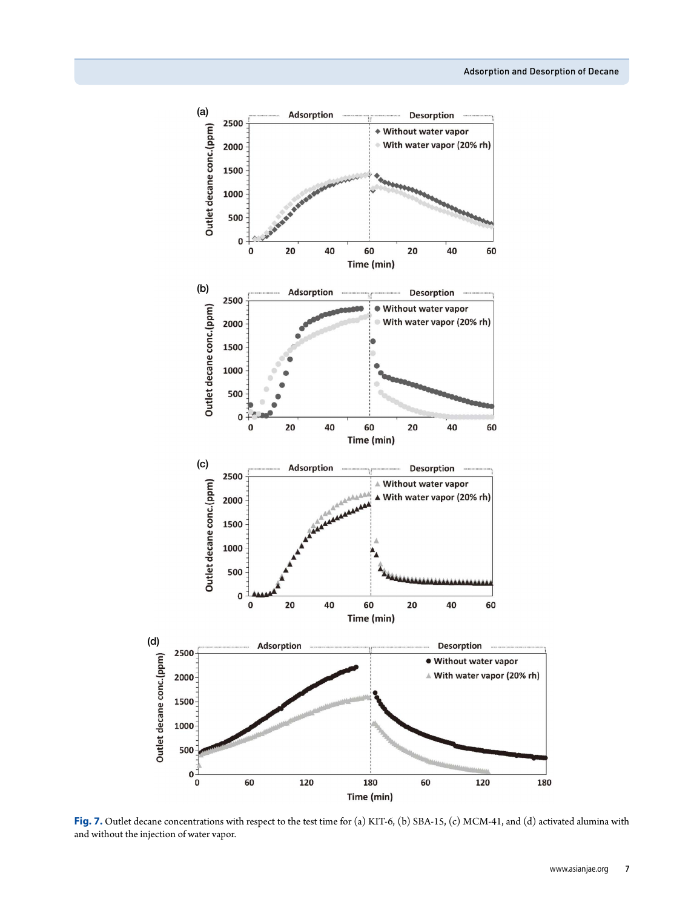

Fig. 7. Outlet decane concentrations with respect to the test time for (a) KIT-6, (b) SBA-15, (c) MCM-41, and (d) activated alumina with and without the injection of water vapor.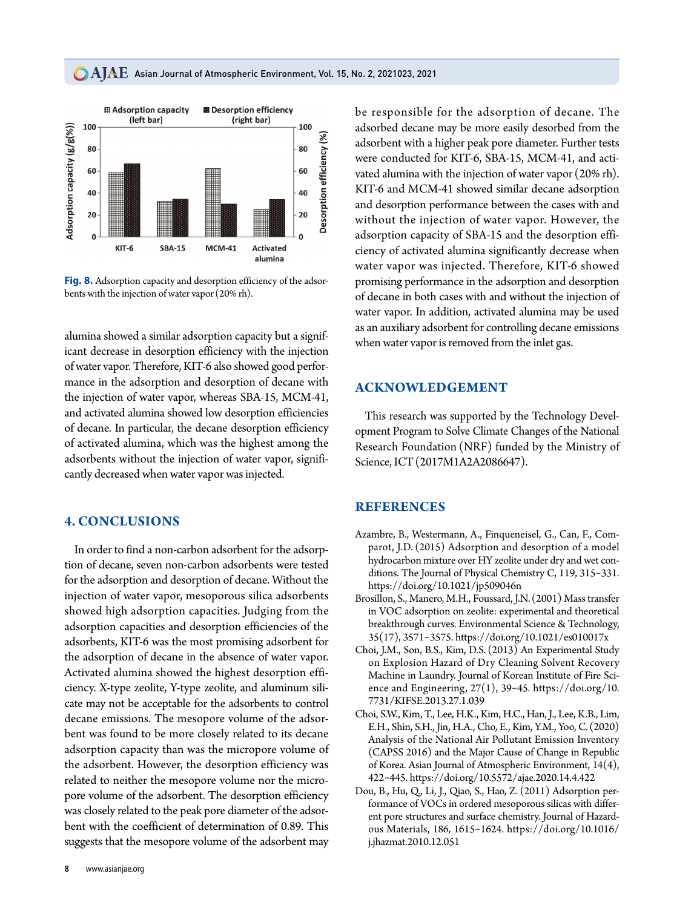#### **CAJAE** Asian Journal of Atmospheric Environment, Vol. 15, No. 2, 2021023, 2021



**Fig. 8.** Adsorption capacity and desorption efficiency of the adsorbents with the injection of water vapor (20% rh).

alumina showed a similar adsorption capacity but a significant decrease in desorption efficiency with the injection of water vapor. Therefore, KIT-6 also showed good performance in the adsorption and desorption of decane with the injection of water vapor, whereas SBA-15, MCM-41, and activated alumina showed low desorption efficiencies of decane. In particular, the decane desorption efficiency of activated alumina, which was the highest among the adsorbents without the injection of water vapor, significantly decreased when water vapor was injected.

# **4. CONCLUSIONS**

In order to find a non-carbon adsorbent for the adsorption of decane, seven non-carbon adsorbents were tested for the adsorption and desorption of decane. Without the injection of water vapor, mesoporous silica adsorbents showed high adsorption capacities. Judging from the adsorption capacities and desorption efficiencies of the adsorbents, KIT-6 was the most promising adsorbent for the adsorption of decane in the absence of water vapor. Activated alumina showed the highest desorption efficiency. X-type zeolite, Y-type zeolite, and aluminum silicate may not be acceptable for the adsorbents to control decane emissions. The mesopore volume of the adsorbent was found to be more closely related to its decane adsorption capacity than was the micropore volume of the adsorbent. However, the desorption efficiency was related to neither the mesopore volume nor the micropore volume of the adsorbent. The desorption efficiency was closely related to the peak pore diameter of the adsorbent with the coefficient of determination of 0.89. This suggests that the mesopore volume of the adsorbent may

be responsible for the adsorption of decane. The adsorbed decane may be more easily desorbed from the adsorbent with a higher peak pore diameter. Further tests were conducted for KIT-6, SBA-15, MCM-41, and activated alumina with the injection of water vapor (20% rh). KIT-6 and MCM-41 showed similar decane adsorption and desorption performance between the cases with and without the injection of water vapor. However, the adsorption capacity of SBA-15 and the desorption efficiency of activated alumina significantly decrease when water vapor was injected. Therefore, KIT-6 showed promising performance in the adsorption and desorption of decane in both cases with and without the injection of water vapor. In addition, activated alumina may be used as an auxiliary adsorbent for controlling decane emissions when water vapor is removed from the inlet gas.

# **ACKNOWLEDGEMENT**

This research was supported by the Technology Development Program to Solve Climate Changes of the National Research Foundation (NRF) funded by the Ministry of Science, ICT (2017M1A2A2086647).

## **REFERENCES**

- Azambre, B., Westermann, A., Finqueneisel, G., Can, F., Comparot, J.D. (2015) Adsorption and desorption of a model hydrocarbon mixture over HY zeolite under dry and wet conditions. The Journal of Physical Chemistry C, 119, 315-331. https://doi.org/10.1021/jp509046n
- Brosillon, S., Manero, M.H., Foussard, J.N. (2001) Mass transfer in VOC adsorption on zeolite: experimental and theoretical breakthrough curves. Environmental Science & Technology, 35(17), 3571-3575. https://doi.org/10.1021/es010017x
- Choi, J.M., Son, B.S., Kim, D.S. (2013) An Experimental Study on Explosion Hazard of Dry Cleaning Solvent Recovery Machine in Laundry. Journal of Korean Institute of Fire Science and Engineering, 27(1), 39-45. https://doi.org/10. 7731/KIFSE.2013.27.1.039
- Choi, S.W., Kim, T., Lee, H.K., Kim, H.C., Han, J., Lee, K.B., Lim, E.H., Shin, S.H., Jin, H.A., Cho, E., Kim, Y.M., Yoo, C. (2020) Analysis of the National Air Pollutant Emission Inventory (CAPSS 2016) and the Major Cause of Change in Republic of Korea. Asian Journal of Atmospheric Environment, 14(4), 422-445. https://doi.org/10.5572/ajae.2020.14.4.422
- Dou, B., Hu, Q., Li, J., Qiao, S., Hao, Z. (2011) Adsorption performance of VOCs in ordered mesoporous silicas with different pore structures and surface chemistry. Journal of Hazardous Materials, 186, 1615-1624. https://doi.org/10.1016/ j.jhazmat.2010.12.051